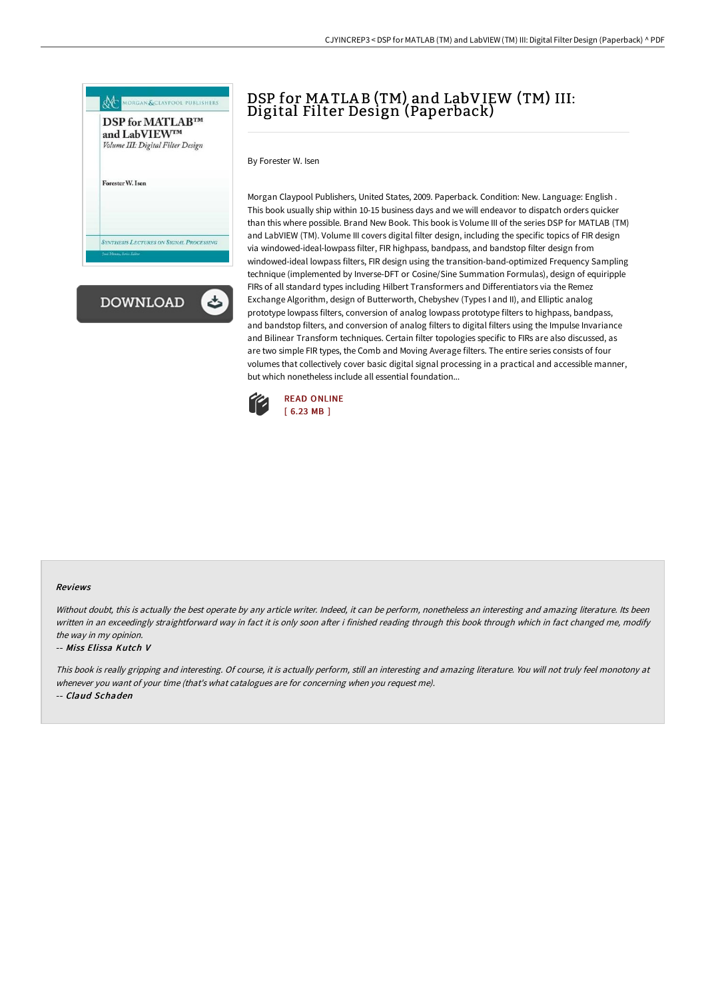

# DSP for MATLAB (TM) and LabVIEW (TM) III: Digital Filter Design (Paperback)

By Forester W. Isen

Morgan Claypool Publishers, United States, 2009. Paperback. Condition: New. Language: English . This book usually ship within 10-15 business days and we will endeavor to dispatch orders quicker than this where possible. Brand New Book. This book is Volume III of the series DSP for MATLAB (TM) and LabVIEW (TM). Volume III covers digital filter design, including the specific topics of FIR design via windowed-ideal-lowpass filter, FIR highpass, bandpass, and bandstop filter design from windowed-ideal lowpass filters, FIR design using the transition-band-optimized Frequency Sampling technique (implemented by Inverse-DFT or Cosine/Sine Summation Formulas), design of equiripple FIRs of all standard types including Hilbert Transformers and Differentiators via the Remez Exchange Algorithm, design of Butterworth, Chebyshev (Types I and II), and Elliptic analog prototype lowpass filters, conversion of analog lowpass prototype filters to highpass, bandpass, and bandstop filters, and conversion of analog filters to digital filters using the Impulse Invariance and Bilinear Transform techniques. Certain filter topologies specific to FIRs are also discussed, as are two simple FIR types, the Comb and Moving Average filters. The entire series consists of four volumes that collectively cover basic digital signal processing in a practical and accessible manner, but which nonetheless include all essential foundation...



### Reviews

Without doubt, this is actually the best operate by any article writer. Indeed, it can be perform, nonetheless an interesting and amazing literature. Its been written in an exceedingly straightforward way in fact it is only soon after i finished reading through this book through which in fact changed me, modify the way in my opinion.

#### -- Miss Elissa Kutch V

This book is really gripping and interesting. Of course, it is actually perform, still an interesting and amazing literature. You will not truly feel monotony at whenever you want of your time (that's what catalogues are for concerning when you request me).

-- Claud Schaden